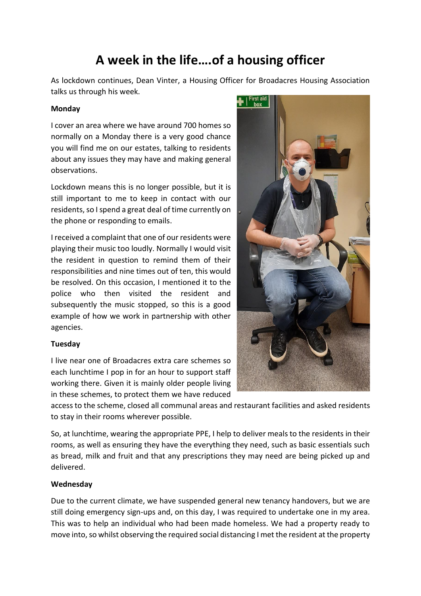# **A week in the life….of a housing officer**

As lockdown continues, Dean Vinter, a Housing Officer for Broadacres Housing Association talks us through his week.

#### **Monday**

I cover an area where we have around 700 homes so normally on a Monday there is a very good chance you will find me on our estates, talking to residents about any issues they may have and making general observations.

Lockdown means this is no longer possible, but it is still important to me to keep in contact with our residents, so I spend a great deal of time currently on the phone or responding to emails.

I received a complaint that one of our residents were playing their music too loudly. Normally I would visit the resident in question to remind them of their responsibilities and nine times out of ten, this would be resolved. On this occasion, I mentioned it to the police who then visited the resident and subsequently the music stopped, so this is a good example of how we work in partnership with other agencies.

#### **Tuesday**

I live near one of Broadacres extra care schemes so each lunchtime I pop in for an hour to support staff working there. Given it is mainly older people living in these schemes, to protect them we have reduced



access to the scheme, closed all communal areas and restaurant facilities and asked residents to stay in their rooms wherever possible.

So, at lunchtime, wearing the appropriate PPE, I help to deliver meals to the residents in their rooms, as well as ensuring they have the everything they need, such as basic essentials such as bread, milk and fruit and that any prescriptions they may need are being picked up and delivered.

#### **Wednesday**

Due to the current climate, we have suspended general new tenancy handovers, but we are still doing emergency sign-ups and, on this day, I was required to undertake one in my area. This was to help an individual who had been made homeless. We had a property ready to move into, so whilst observing the required social distancing I met the resident at the property